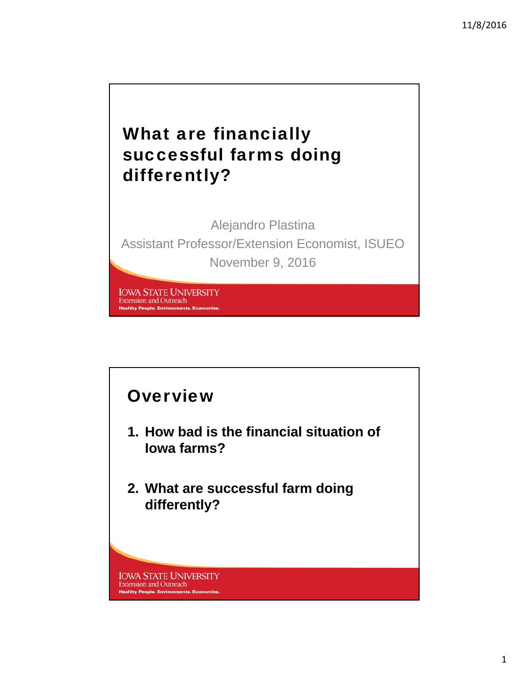# What are financially successful farms doing differently?

Alejandro Plastina Assistant Professor/Extension Economist, ISUEO November 9, 2016

**IOWA STATE UNIVERSITY Extension and Outreach Healthy People. Environments. Econ** 

#### **Overview**

- **1. How bad is the financial situation of Iowa farms?**
- **2. What are successful farm doing differently?**

**IOWA STATE UNIVERSITY Extension and Outreach Healthy People. Environments. Economies**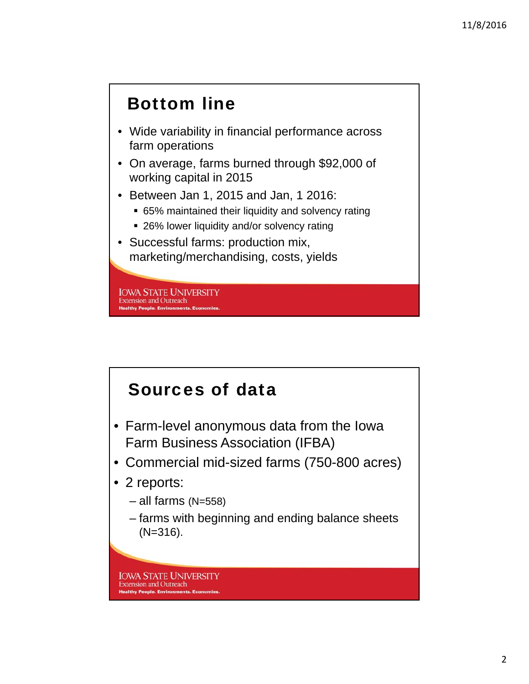## Bottom line

- Wide variability in financial performance across farm operations
- On average, farms burned through \$92,000 of working capital in 2015
- Between Jan 1, 2015 and Jan, 1 2016:
	- 65% maintained their liquidity and solvency rating
	- 26% lower liquidity and/or solvency rating
- Successful farms: production mix, marketing/merchandising, costs, yields

**IOWA STATE UNIVERSITY Extension and Outreach Healthy People. Environments. E** 

#### Sources of data

- Farm-level anonymous data from the Iowa Farm Business Association (IFBA)
- Commercial mid-sized farms (750-800 acres)
- 2 reports:
	- $-$  all farms (N=558)
	- farms with beginning and ending balance sheets (N=316).

**IOWA STATE UNIVERSITY Extension and Outreach Healthy People, Environments, Economies**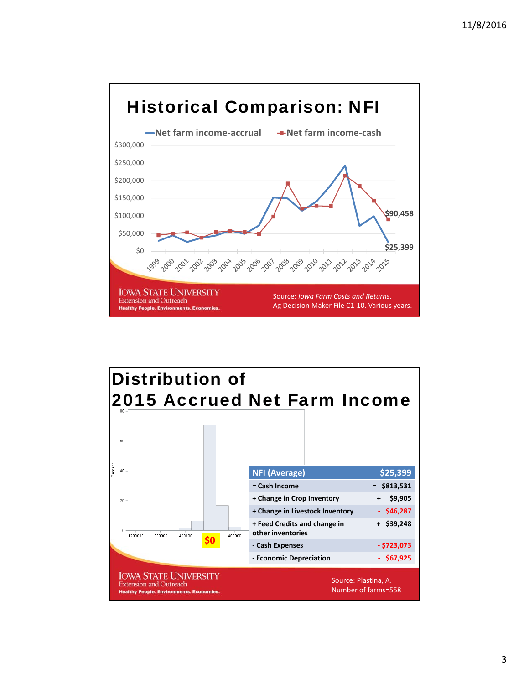

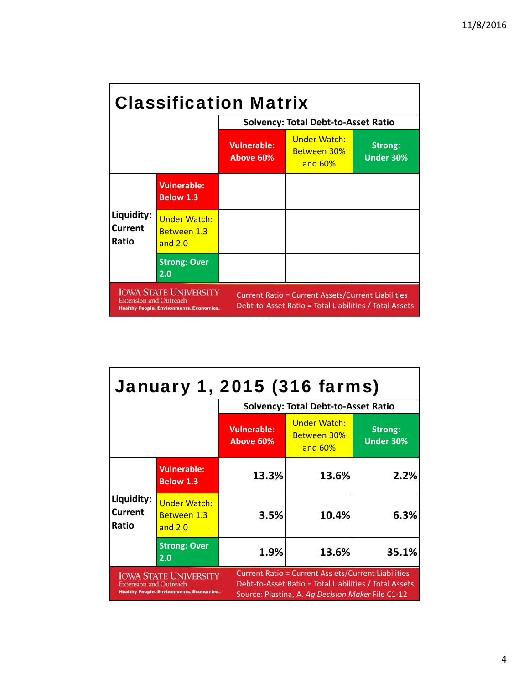| <b>Classification Matrix</b>                                                                                                                                                                                                            |                                                        |                                            |                                                         |                                    |  |
|-----------------------------------------------------------------------------------------------------------------------------------------------------------------------------------------------------------------------------------------|--------------------------------------------------------|--------------------------------------------|---------------------------------------------------------|------------------------------------|--|
|                                                                                                                                                                                                                                         |                                                        | <b>Solvency: Total Debt-to-Asset Ratio</b> |                                                         |                                    |  |
|                                                                                                                                                                                                                                         |                                                        | Vulnerable:<br>Above 60%                   | <b>Under Watch:</b><br><b>Between 30%</b><br>and $60\%$ | <b>Strong:</b><br><b>Under 30%</b> |  |
|                                                                                                                                                                                                                                         | <b>Vulnerable:</b><br><b>Below 1.3</b>                 |                                            |                                                         |                                    |  |
| Liquidity:<br>Current<br>Ratio                                                                                                                                                                                                          | <b>Under Watch:</b><br><b>Between 1.3</b><br>and $2.0$ |                                            |                                                         |                                    |  |
|                                                                                                                                                                                                                                         | <b>Strong: Over</b><br>2.0                             |                                            |                                                         |                                    |  |
| <b>IOWA STATE UNIVERSITY</b><br><b>Current Ratio = Current Assets/Current Liabilities</b><br><b>Extension and Outreach</b><br>Debt-to-Asset Ratio = Total Liabilities / Total Assets<br><b>Healthy People. Environments. Economies.</b> |                                                        |                                            |                                                         |                                    |  |

| <b>January 1, 2015 (316 farms)</b>                                                                               |                                                 |                                                                                                                                                                           |                                                      |                                    |  |
|------------------------------------------------------------------------------------------------------------------|-------------------------------------------------|---------------------------------------------------------------------------------------------------------------------------------------------------------------------------|------------------------------------------------------|------------------------------------|--|
|                                                                                                                  | <b>Solvency: Total Debt-to-Asset Ratio</b>      |                                                                                                                                                                           |                                                      |                                    |  |
|                                                                                                                  |                                                 | <b>Vulnerable:</b><br>Above 60%                                                                                                                                           | <b>Under Watch:</b><br><b>Between 30%</b><br>and 60% | <b>Strong:</b><br><b>Under 30%</b> |  |
| Liquidity:<br><b>Current</b><br>Ratio                                                                            | <b>Vulnerable:</b><br><b>Below 1.3</b>          | 13.3%                                                                                                                                                                     | 13.6%                                                | 2.2%                               |  |
|                                                                                                                  | <b>Under Watch:</b><br>Between 1.3<br>and $2.0$ | 3.5%                                                                                                                                                                      | 10.4%                                                | 6.3%                               |  |
|                                                                                                                  | <b>Strong: Over</b><br>2.0                      | 1.9%                                                                                                                                                                      | 13.6%                                                | 35.1%                              |  |
| <b>IOWA STATE UNIVERSITY</b><br><b>Extension and Outreach</b><br><b>Healthy People. Environments. Economies.</b> |                                                 | <b>Current Ratio = Current Ass ets/Current Liabilities</b><br>Debt-to-Asset Ratio = Total Liabilities / Total Assets<br>Source: Plastina, A. Ag Decision Maker File C1-12 |                                                      |                                    |  |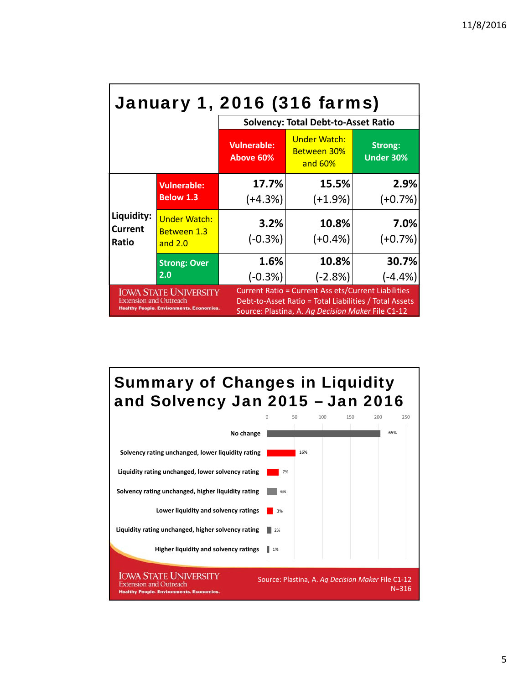| <b>January 1, 2016 (316 farms)</b>                                                                                                                                                                                                                                                            |                                                        |                                            |                                                      |                             |  |
|-----------------------------------------------------------------------------------------------------------------------------------------------------------------------------------------------------------------------------------------------------------------------------------------------|--------------------------------------------------------|--------------------------------------------|------------------------------------------------------|-----------------------------|--|
|                                                                                                                                                                                                                                                                                               |                                                        | <b>Solvency: Total Debt-to-Asset Ratio</b> |                                                      |                             |  |
|                                                                                                                                                                                                                                                                                               |                                                        | <b>Vulnerable:</b><br>Above 60%            | <b>Under Watch:</b><br><b>Between 30%</b><br>and 60% | Strong:<br><b>Under 30%</b> |  |
|                                                                                                                                                                                                                                                                                               | <b>Vulnerable:</b>                                     | 17.7%                                      | 15.5%                                                | 2.9%                        |  |
| Liquidity:<br>Current<br>Ratio                                                                                                                                                                                                                                                                | <b>Below 1.3</b>                                       | $(+4.3%)$                                  | $(+1.9%)$                                            | $(+0.7%)$                   |  |
|                                                                                                                                                                                                                                                                                               | <b>Under Watch:</b><br><b>Between 1.3</b><br>and $2.0$ | 3.2%<br>$(-0.3%)$                          | 10.8%<br>$(+0.4\%)$                                  | 7.0%<br>$(+0.7%)$           |  |
|                                                                                                                                                                                                                                                                                               | <b>Strong: Over</b>                                    | 1.6%                                       | 10.8%                                                | 30.7%                       |  |
|                                                                                                                                                                                                                                                                                               | 2.0                                                    | $(-0.3%)$                                  | $(-2.8%)$                                            | $(-4.4%)$                   |  |
| <b>Current Ratio = Current Ass ets/Current Liabilities</b><br><b>IOWA STATE UNIVERSITY</b><br><b>Extension and Outreach</b><br>Debt-to-Asset Ratio = Total Liabilities / Total Assets<br><b>Healthy People. Environments. Economies.</b><br>Source: Plastina, A. Ag Decision Maker File C1-12 |                                                        |                                            |                                                      |                             |  |



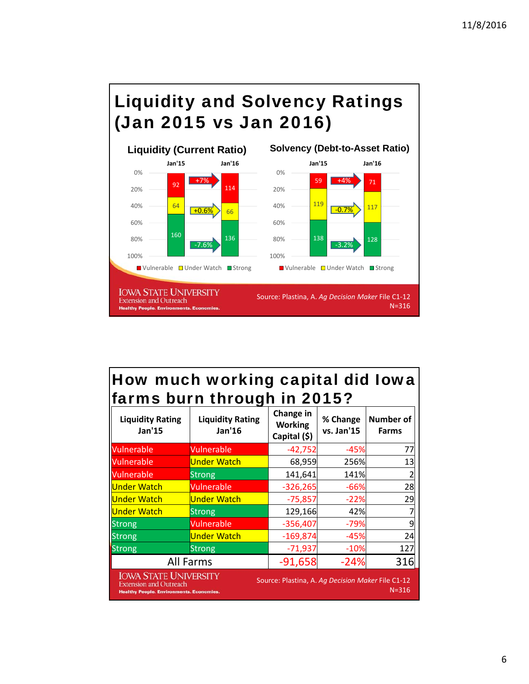



### How much working capital did Iowa farms burn through in 2015?

| <b>Liquidity Rating</b><br>Jan'15                                                                                                                                                  | <b>Liquidity Rating</b><br>Jan'16 | Change in<br><b>Working</b><br>Capital (\$) | % Change<br>vs. Jan'15 | Number of<br><b>Farms</b> |
|------------------------------------------------------------------------------------------------------------------------------------------------------------------------------------|-----------------------------------|---------------------------------------------|------------------------|---------------------------|
| Vulnerable                                                                                                                                                                         | Vulnerable                        | $-42,752$                                   | $-45%$                 | 77                        |
| <b>Vulnerable</b>                                                                                                                                                                  | <b>Under Watch</b>                | 68,959                                      | 256%                   | 13                        |
| <b>Vulnerable</b>                                                                                                                                                                  | Strong                            | 141,641                                     | 141%                   |                           |
| Under Watch                                                                                                                                                                        | Vulnerable                        | $-326,265$                                  | -66%                   | 28                        |
| Under Watch                                                                                                                                                                        | <b>Under Watch</b>                | $-75,857$                                   | $-22%$                 | 29                        |
| Under Watch                                                                                                                                                                        | Strong                            | 129,166                                     | 42%                    |                           |
| <b>Strong</b>                                                                                                                                                                      | Vulnerable                        | $-356,407$                                  | $-79%$                 | 9                         |
| <b>Strong</b>                                                                                                                                                                      | <b>Under Watch</b>                | $-169,874$                                  | $-45%$                 | 24                        |
| <b>Strong</b>                                                                                                                                                                      | Strong                            | $-71,937$                                   | $-10%$                 | 127                       |
| <b>All Farms</b>                                                                                                                                                                   | $-91,658$                         | $-24%$                                      | 316                    |                           |
| <b>IOWA STATE UNIVERSITY</b><br>Source: Plastina, A. Ag Decision Maker File C1-12<br><b>Extension and Outreach</b><br>$N = 316$<br><b>Healthy People. Environments. Economies.</b> |                                   |                                             |                        |                           |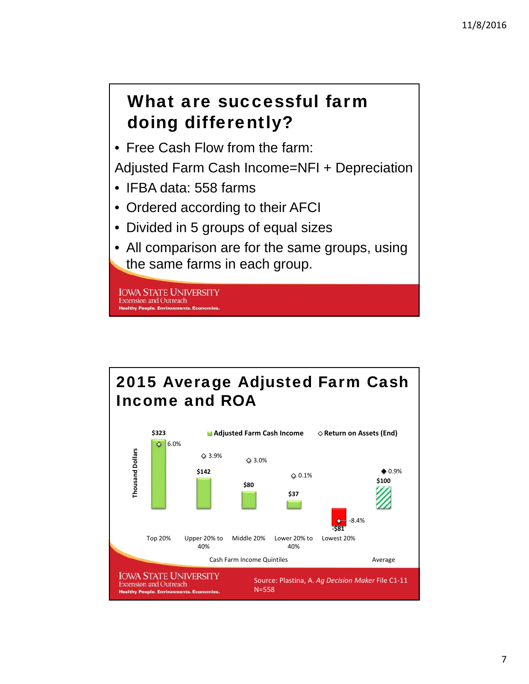## What are successful farm doing differently?

• Free Cash Flow from the farm:

Adjusted Farm Cash Income=NFI + Depreciation

- IFBA data: 558 farms
- Ordered according to their AFCI
- Divided in 5 groups of equal sizes
- All comparison are for the same groups, using the same farms in each group.

**IOWA STATE UNIVERSITY Extension and Outreach Healthy People. Environments. Ecor** 

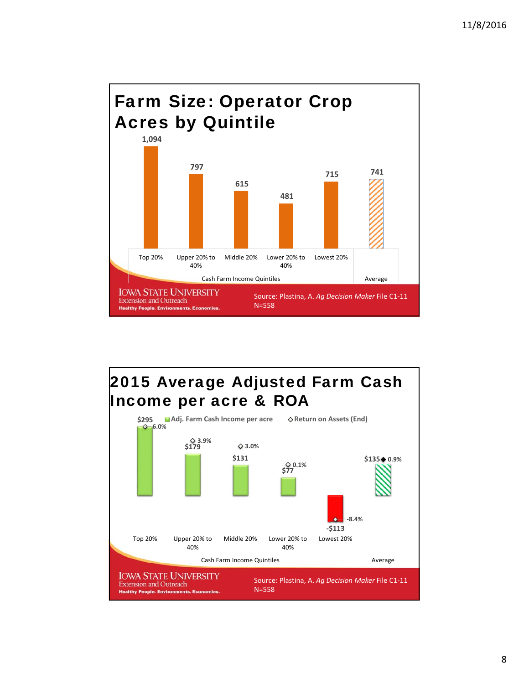

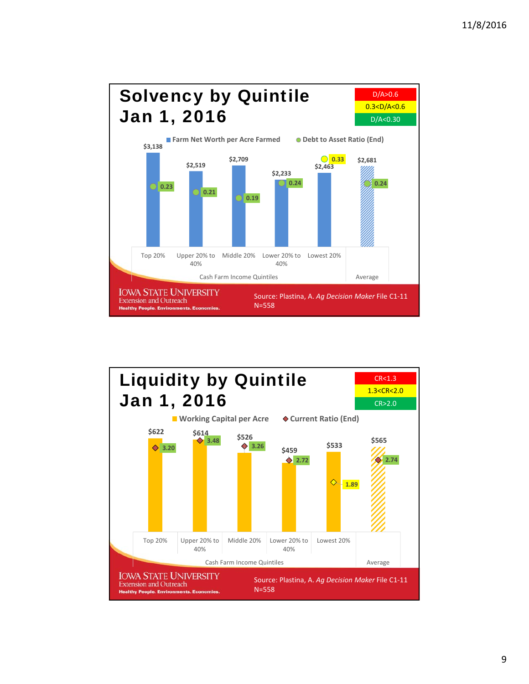

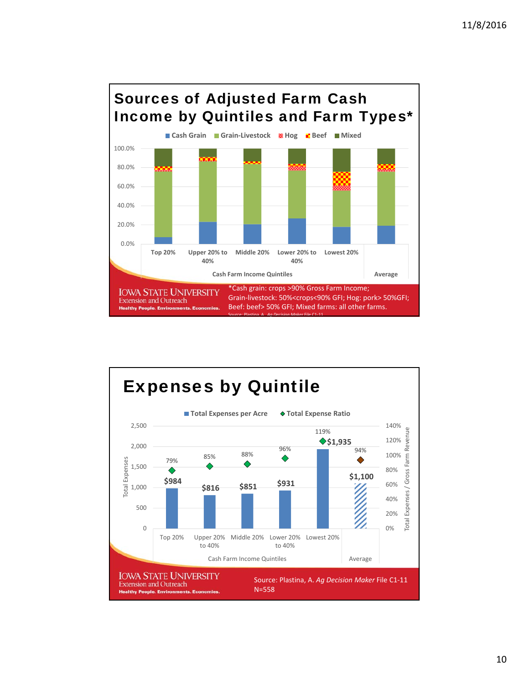

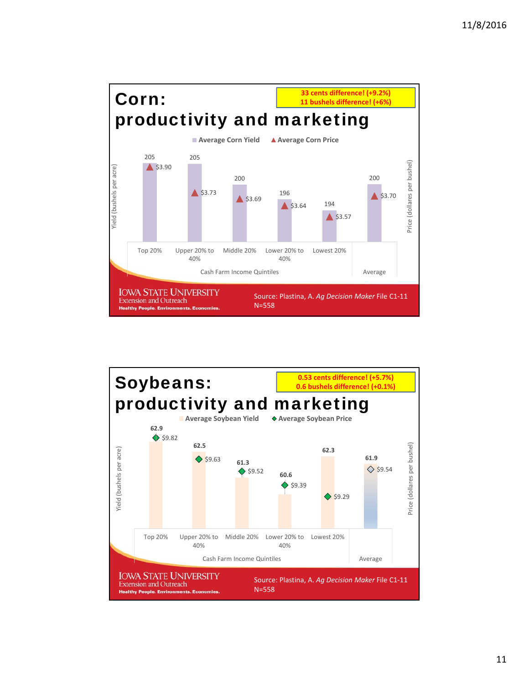

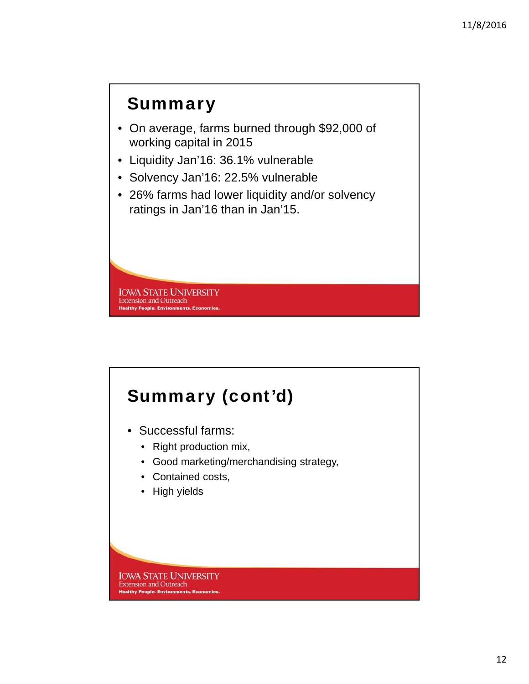## **Summary**

- On average, farms burned through \$92,000 of working capital in 2015
- Liquidity Jan'16: 36.1% vulnerable
- Solvency Jan'16: 22.5% vulnerable
- 26% farms had lower liquidity and/or solvency ratings in Jan'16 than in Jan'15.

**IOWA STATE UNIVERSITY Extension and Outreach Healthy People. Environments. Ec** 

# Summary (cont'd)

- Successful farms:
	- Right production mix,
	- Good marketing/merchandising strategy,
	- Contained costs,
	- High yields

**IOWA STATE UNIVERSITY** Extension and Outreach **Healthy People. Environments. Economies**